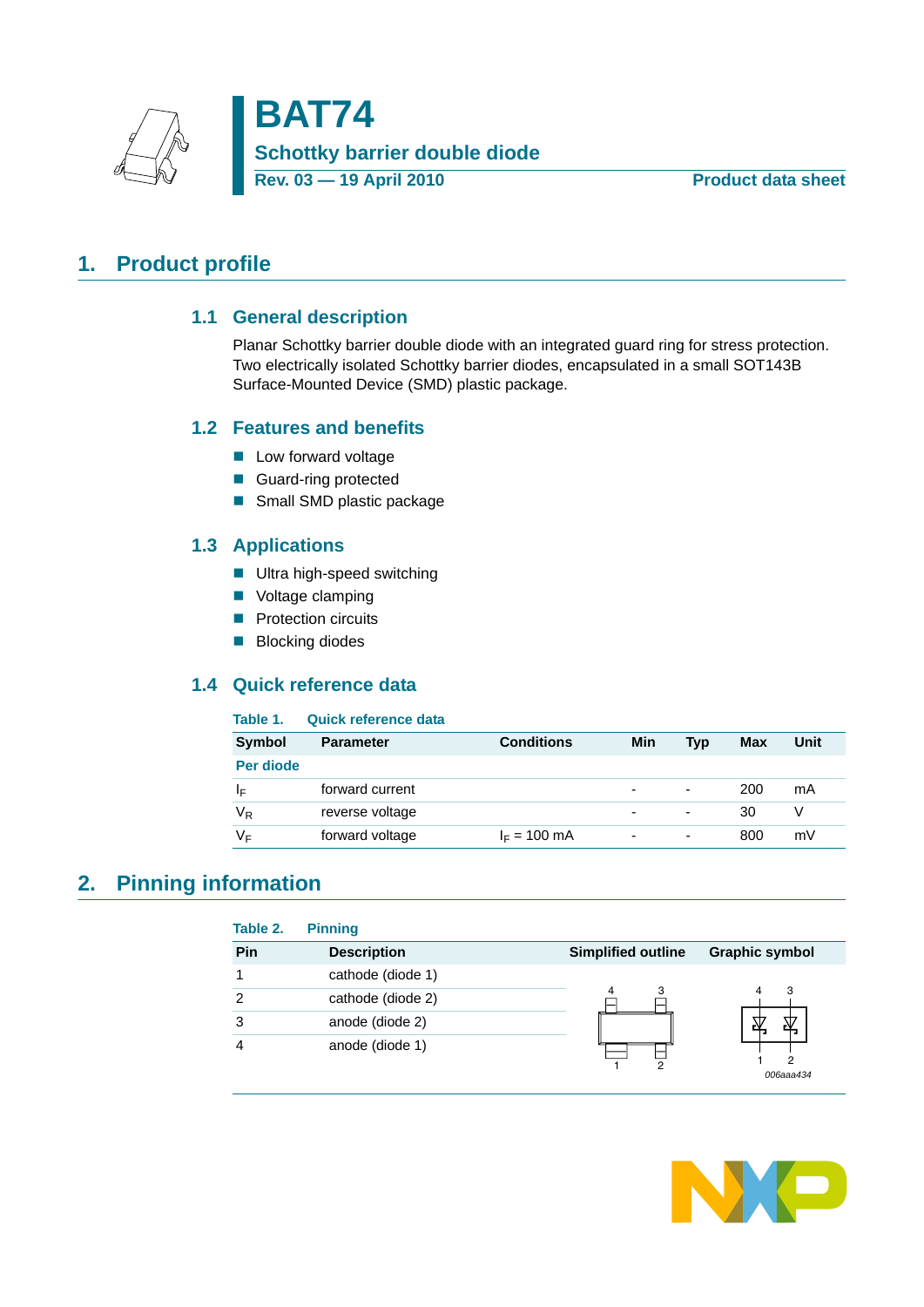

## <span id="page-0-2"></span><span id="page-0-0"></span>**1. Product profile**

#### **1.1 General description**

Planar Schottky barrier double diode with an integrated guard ring for stress protection. Two electrically isolated Schottky barrier diodes, encapsulated in a small SOT143B Surface-Mounted Device (SMD) plastic package.

#### <span id="page-0-3"></span>**1.2 Features and benefits**

- **Low forward voltage**
- Guard-ring protected
- Small SMD plastic package

#### <span id="page-0-4"></span>**1.3 Applications**

- **Ultra high-speed switching**
- **Voltage clamping**
- **Protection circuits**
- **Blocking diodes**

## <span id="page-0-5"></span>**1.4 Quick reference data**

#### <span id="page-0-1"></span>**Table 1. Quick reference data**

| <b>Symbol</b>  | <b>Parameter</b> | <b>Conditions</b> | Min                      | Typ                      | Max | Unit |
|----------------|------------------|-------------------|--------------------------|--------------------------|-----|------|
| Per diode      |                  |                   |                          |                          |     |      |
| ΙF             | forward current  |                   | -                        | $\overline{\phantom{0}}$ | 200 | mA   |
| V <sub>R</sub> | reverse voltage  |                   | $\overline{\phantom{0}}$ | ٠                        | 30  |      |
| V⊧             | forward voltage  | $I_F = 100$ mA    | $\overline{\phantom{0}}$ | $\overline{\phantom{0}}$ | 800 | mV   |

## <span id="page-0-6"></span>**2. Pinning information**

| Pin | <b>Description</b> | <b>Simplified outline</b> | <b>Graphic symbol</b> |
|-----|--------------------|---------------------------|-----------------------|
|     | cathode (diode 1)  |                           |                       |
| 2   | cathode (diode 2)  |                           | 3<br>4                |
| 3   | anode (diode 2)    |                           |                       |
| 4   | anode (diode 1)    | 2                         | 2<br>006aaa434        |

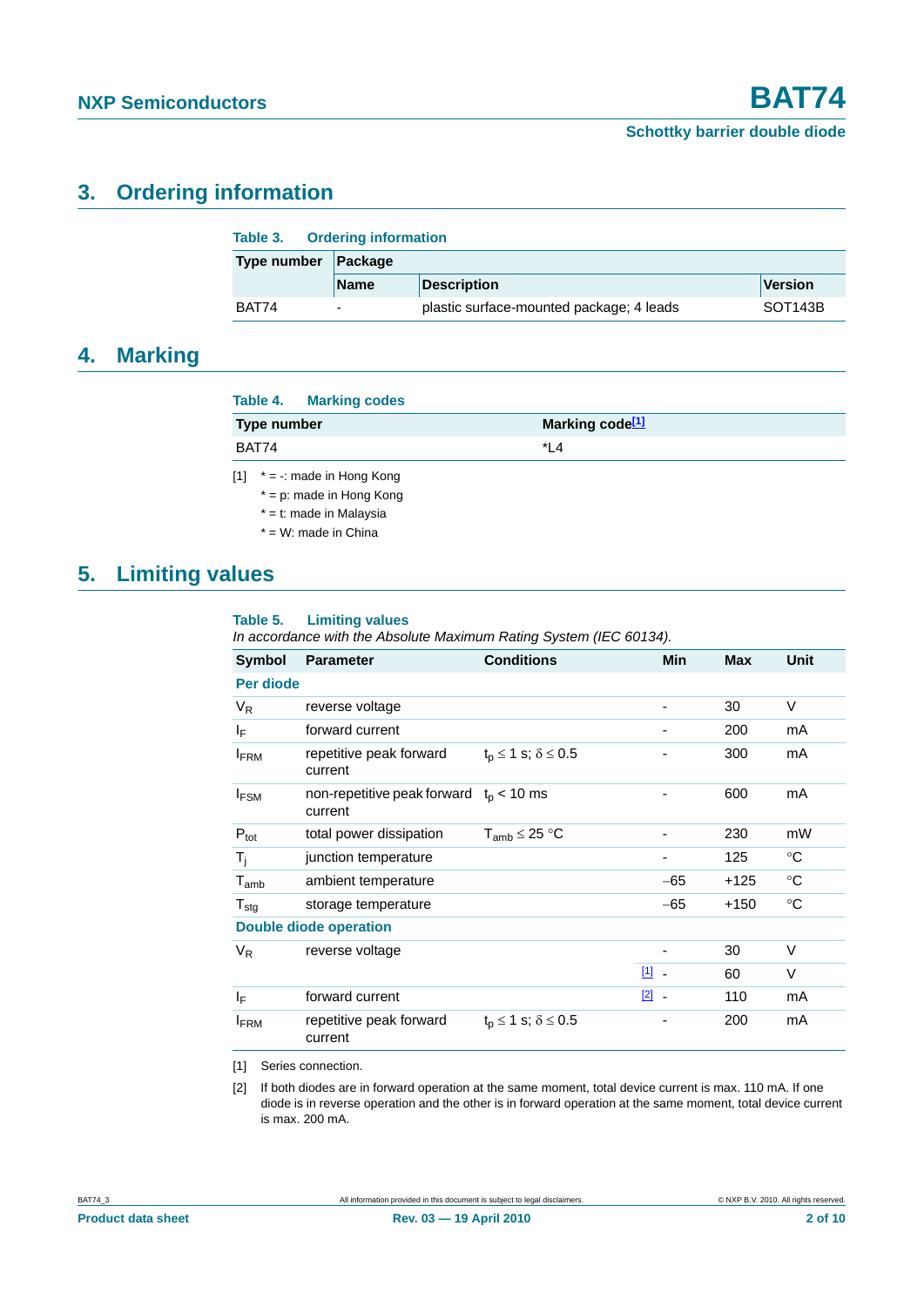## <span id="page-1-4"></span>**3. Ordering information**

|                        | Table 3. Ordering information |                                          |                      |  |  |  |
|------------------------|-------------------------------|------------------------------------------|----------------------|--|--|--|
| Type number<br>Package |                               |                                          |                      |  |  |  |
|                        | <b>Name</b>                   | <b>Description</b>                       | Version              |  |  |  |
| BAT74                  | $\overline{\phantom{0}}$      | plastic surface-mounted package; 4 leads | SOT <sub>143</sub> B |  |  |  |

## <span id="page-1-3"></span>**4. Marking**

#### **Table 4. Marking codes**

| Type number | Marking code <sup>[1]</sup> |
|-------------|-----------------------------|
| BAT74       | $*1$                        |

- <span id="page-1-0"></span>[1]  $* = -$ : made in Hong Kong
	- \* = p: made in Hong Kong
	- \* = t: made in Malaysia
	- $*$  = W: made in China

## <span id="page-1-5"></span>**5. Limiting values**

#### **Table 5. Limiting values**

*In accordance with the Absolute Maximum Rating System (IEC 60134).*

| <b>Symbol</b>    | <b>Parameter</b>                                       | <b>Conditions</b>                   | Min           | <b>Max</b> | Unit        |
|------------------|--------------------------------------------------------|-------------------------------------|---------------|------------|-------------|
| Per diode        |                                                        |                                     |               |            |             |
| $V_R$            | reverse voltage                                        |                                     |               | 30         | V           |
| ΙF               | forward current                                        |                                     |               | 200        | mA          |
| <b>IFRM</b>      | repetitive peak forward<br>current                     | $t_{p} \leq 1$ s; $\delta \leq 0.5$ |               | 300        | mA          |
| $I_{FSM}$        | non-repetitive peak forward $t_{p}$ < 10 ms<br>current |                                     |               | 600        | mA          |
| $P_{\text{tot}}$ | total power dissipation                                | $T_{amb}$ $\leq$ 25 °C              | ۰             | 230        | mW          |
| $T_i$            | junction temperature                                   |                                     |               | 125        | $^{\circ}C$ |
| $T_{amb}$        | ambient temperature                                    |                                     | $-65$         | $+125$     | $^{\circ}C$ |
| $T_{\text{stg}}$ | storage temperature                                    |                                     | $-65$         | $+150$     | $^{\circ}C$ |
|                  | <b>Double diode operation</b>                          |                                     |               |            |             |
| $V_{R}$          | reverse voltage                                        |                                     |               | 30         | $\vee$      |
|                  |                                                        |                                     | $11 -$        | 60         | V           |
| ΙF               | forward current                                        |                                     | $\boxed{2}$ - | 110        | mA          |
| <b>FRM</b>       | repetitive peak forward<br>current                     | $t_p \le 1$ s; $\delta \le 0.5$     |               | 200        | mA          |

<span id="page-1-1"></span>[1] Series connection.

<span id="page-1-2"></span>[2] If both diodes are in forward operation at the same moment, total device current is max. 110 mA. If one diode is in reverse operation and the other is in forward operation at the same moment, total device current is max. 200 mA.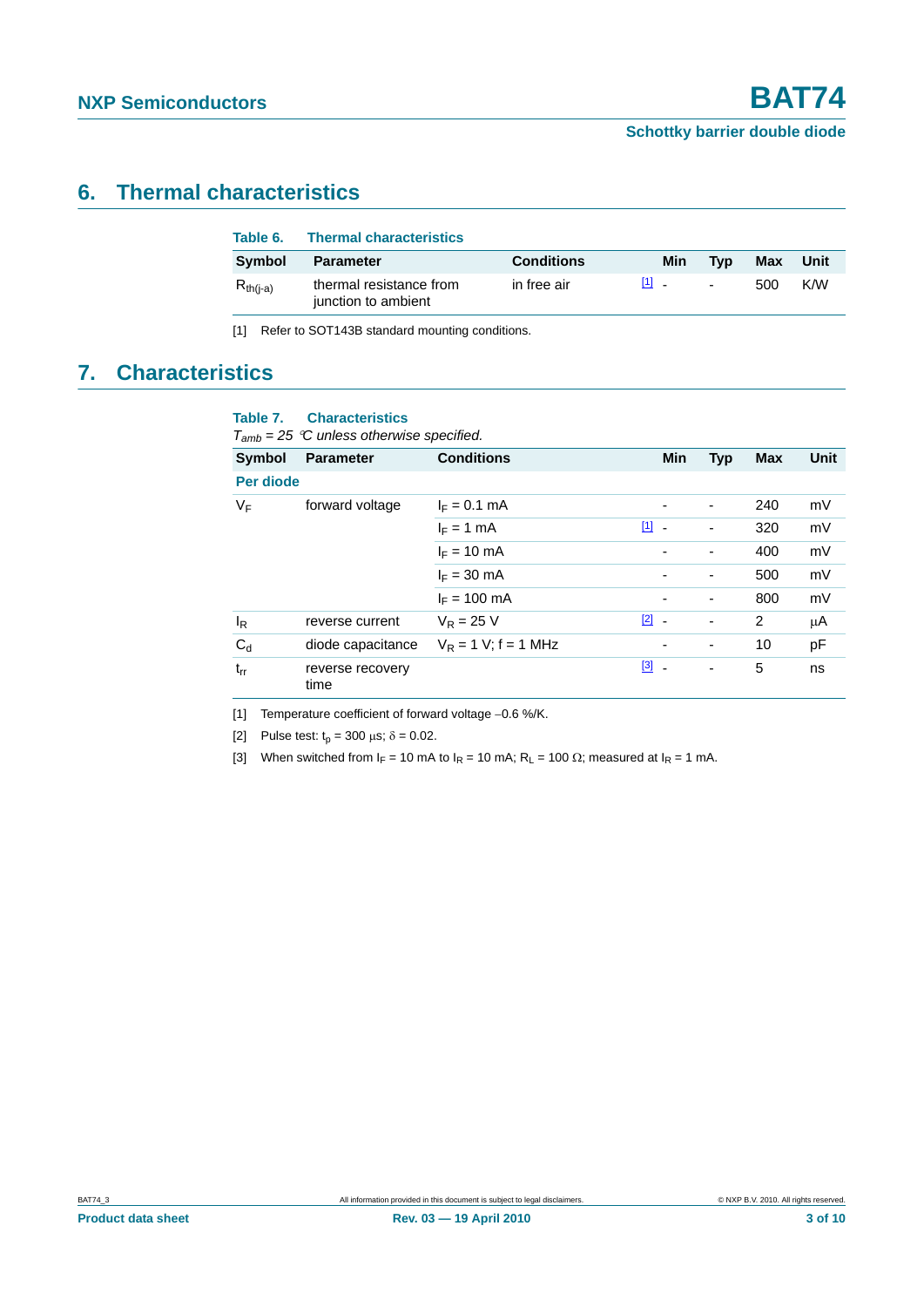## <span id="page-2-4"></span>**6. Thermal characteristics**

| Table 6.      | <b>Thermal characteristics</b>                 |                   |       |                          |     |      |
|---------------|------------------------------------------------|-------------------|-------|--------------------------|-----|------|
| Symbol        | <b>Parameter</b>                               | <b>Conditions</b> | Min   | <b>Tvp</b>               | Max | Unit |
| $R_{th(i-a)}$ | thermal resistance from<br>junction to ambient | in free air       | [1] _ | $\overline{\phantom{a}}$ | 500 | K/W  |

<span id="page-2-0"></span>[1] Refer to SOT143B standard mounting conditions.

# <span id="page-2-5"></span>**7. Characteristics**

#### **Table 7. Characteristics**

*Tamb = 25* °*C unless otherwise specified.*

| <b>Symbol</b> | <b>Parameter</b>         | <b>Conditions</b>       | <b>Min</b>                    | <b>Typ</b> | <b>Max</b> | Unit |
|---------------|--------------------------|-------------------------|-------------------------------|------------|------------|------|
| Per diode     |                          |                         |                               |            |            |      |
| VF            | forward voltage          | $I_F = 0.1$ mA          | ٠                             | ٠          | 240        | mV   |
|               |                          | $I_F = 1$ mA            | $\boxed{1}$<br>$\blacksquare$ | -          | 320        | mV   |
|               |                          | $I_F = 10 \text{ mA}$   | $\overline{\phantom{a}}$      |            | 400        | mV   |
|               |                          | $I_F = 30$ mA           | ۰                             | ٠          | 500        | mV   |
|               |                          | $I_F = 100 \text{ mA}$  | ۰                             | ٠          | 800        | mV   |
| $I_R$         | reverse current          | $V_{\rm R} = 25$ V      | $\boxed{2}$ -                 | -          | 2          | μA   |
| $C_{d}$       | diode capacitance        | $V_R = 1 V$ ; f = 1 MHz | $\overline{\phantom{a}}$      | ٠          | 10         | pF   |
| $t_{rr}$      | reverse recovery<br>time |                         | $\boxed{3}$ -                 | -          | 5          | ns   |

<span id="page-2-1"></span>[1] Temperature coefficient of forward voltage −0.6 %/K.

<span id="page-2-2"></span>[2] Pulse test:  $t_p = 300 \mu s$ ;  $\delta = 0.02$ .

<span id="page-2-3"></span>[3] When switched from  $I_F = 10$  mA to  $I_R = 10$  mA;  $R_L = 100 \Omega$ ; measured at  $I_R = 1$  mA.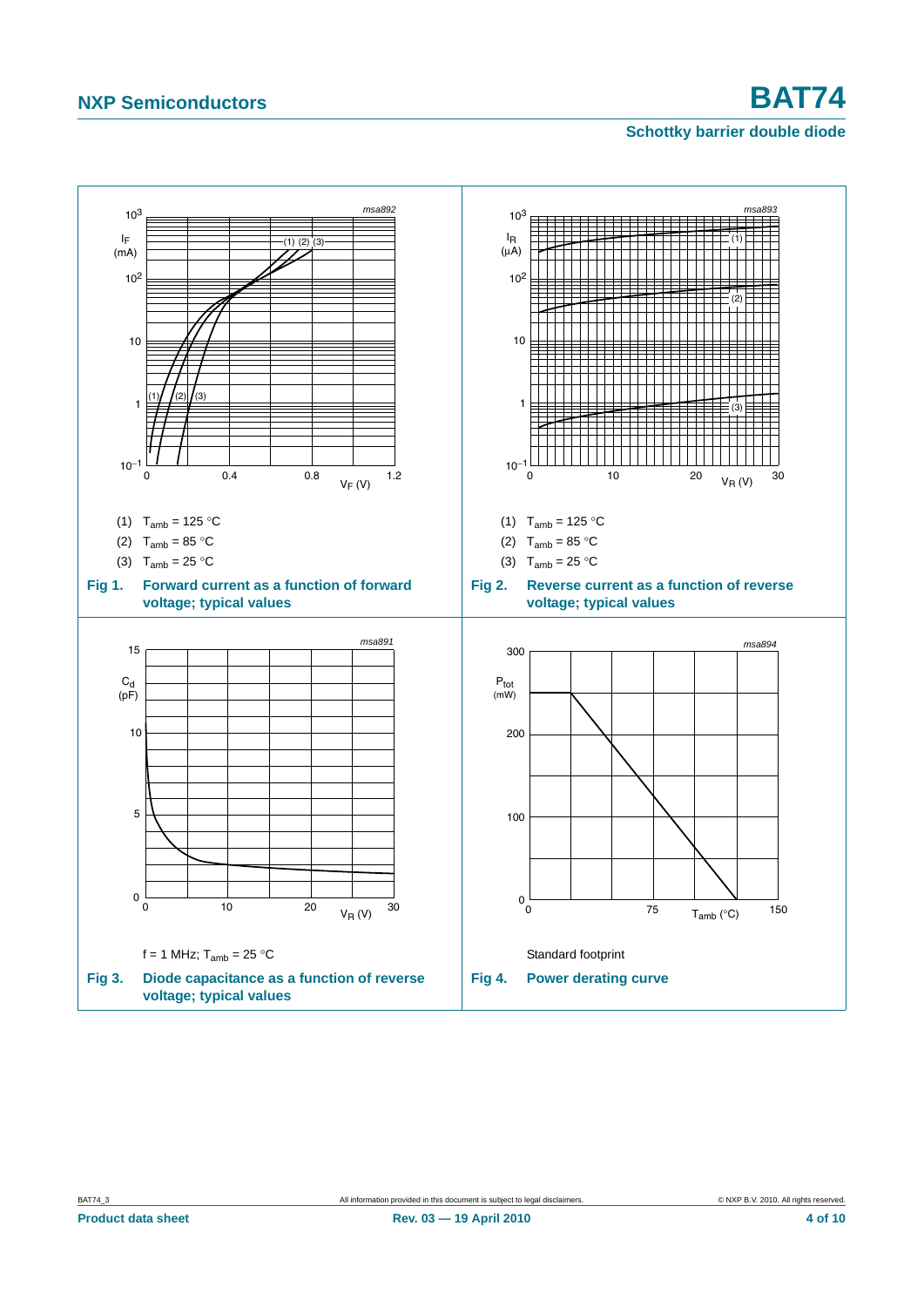# **NXP Semiconductors BAT74**

#### **Schottky barrier double diode**

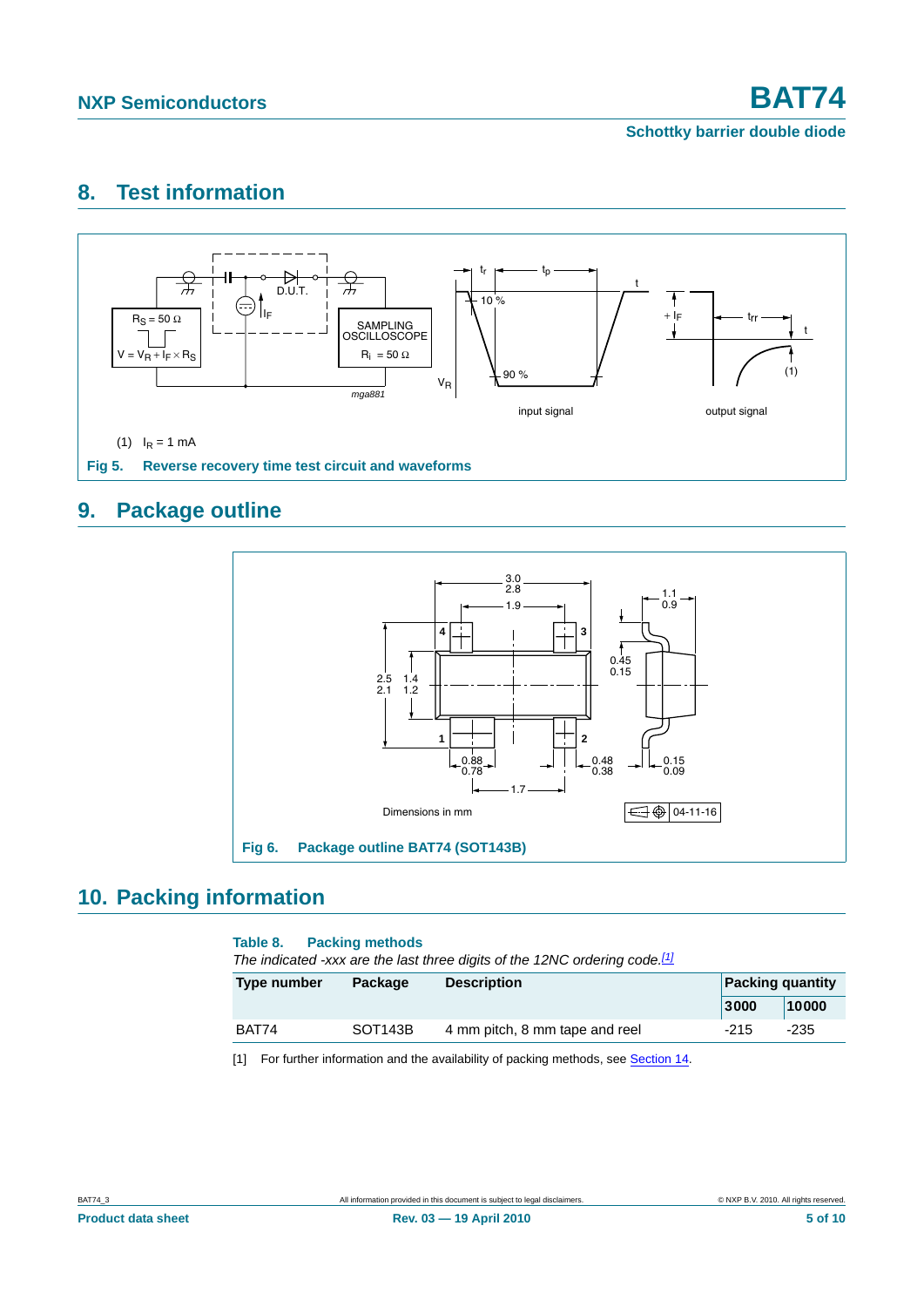**Schottky barrier double diode**

## <span id="page-4-1"></span>**8. Test information**



## <span id="page-4-5"></span><span id="page-4-4"></span>**9. Package outline**



## <span id="page-4-3"></span>**10. Packing information**

#### <span id="page-4-2"></span>**Table 8. Packing methods**

*The indicated -xxx are the last three digits of the 12NC ordering code.[\[1\]](#page-4-0)*

| Type number | Package              | <b>Description</b>             |        | <b>Packing quantity</b> |
|-------------|----------------------|--------------------------------|--------|-------------------------|
|             |                      |                                | 3000   | 10000                   |
| BAT74       | SOT <sub>143</sub> B | 4 mm pitch, 8 mm tape and reel | $-215$ | -235                    |

<span id="page-4-0"></span>[1] For further information and the availability of packing methods, see [Section 14](#page-8-0).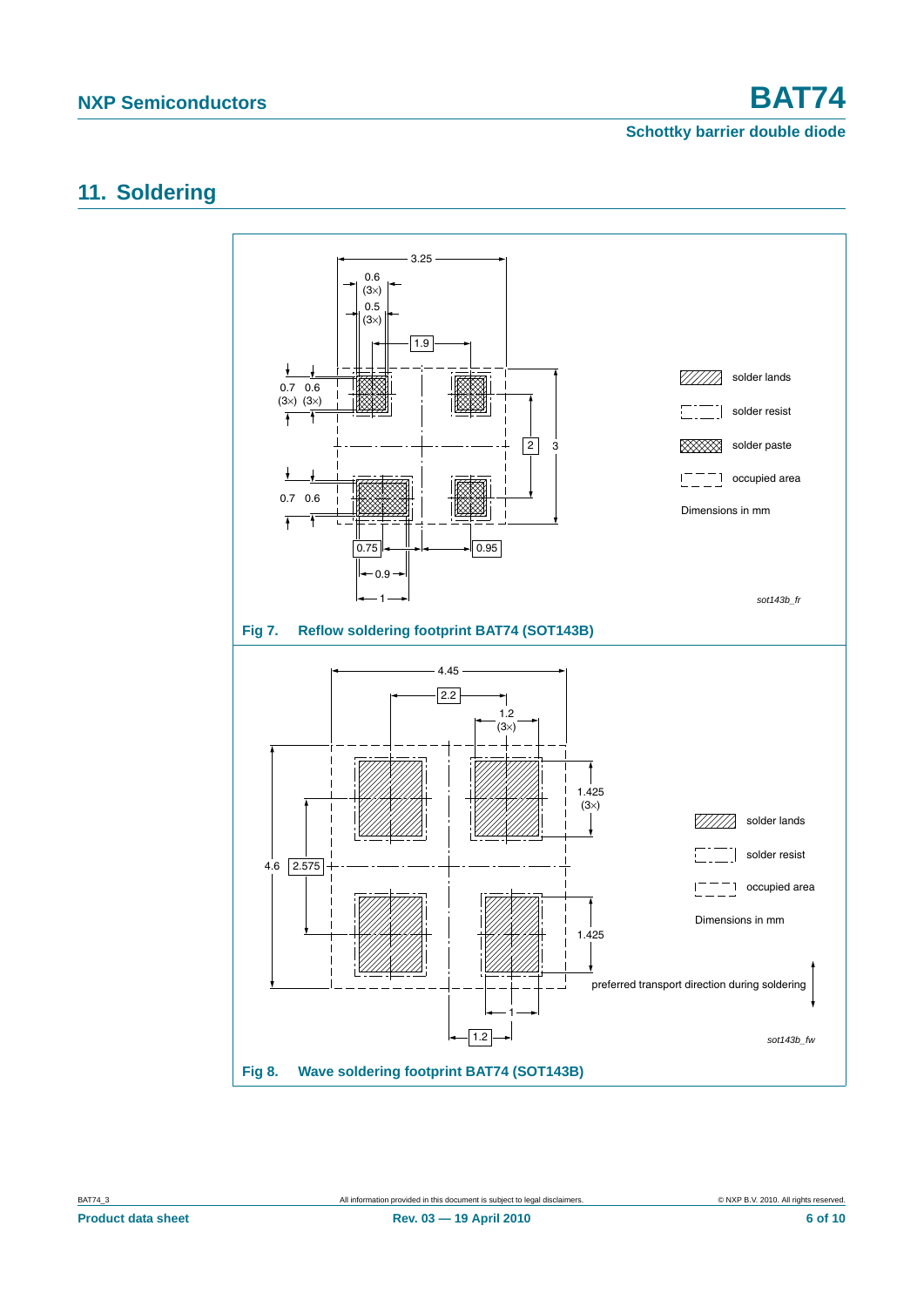**Schottky barrier double diode**

## <span id="page-5-0"></span>**11. Soldering**

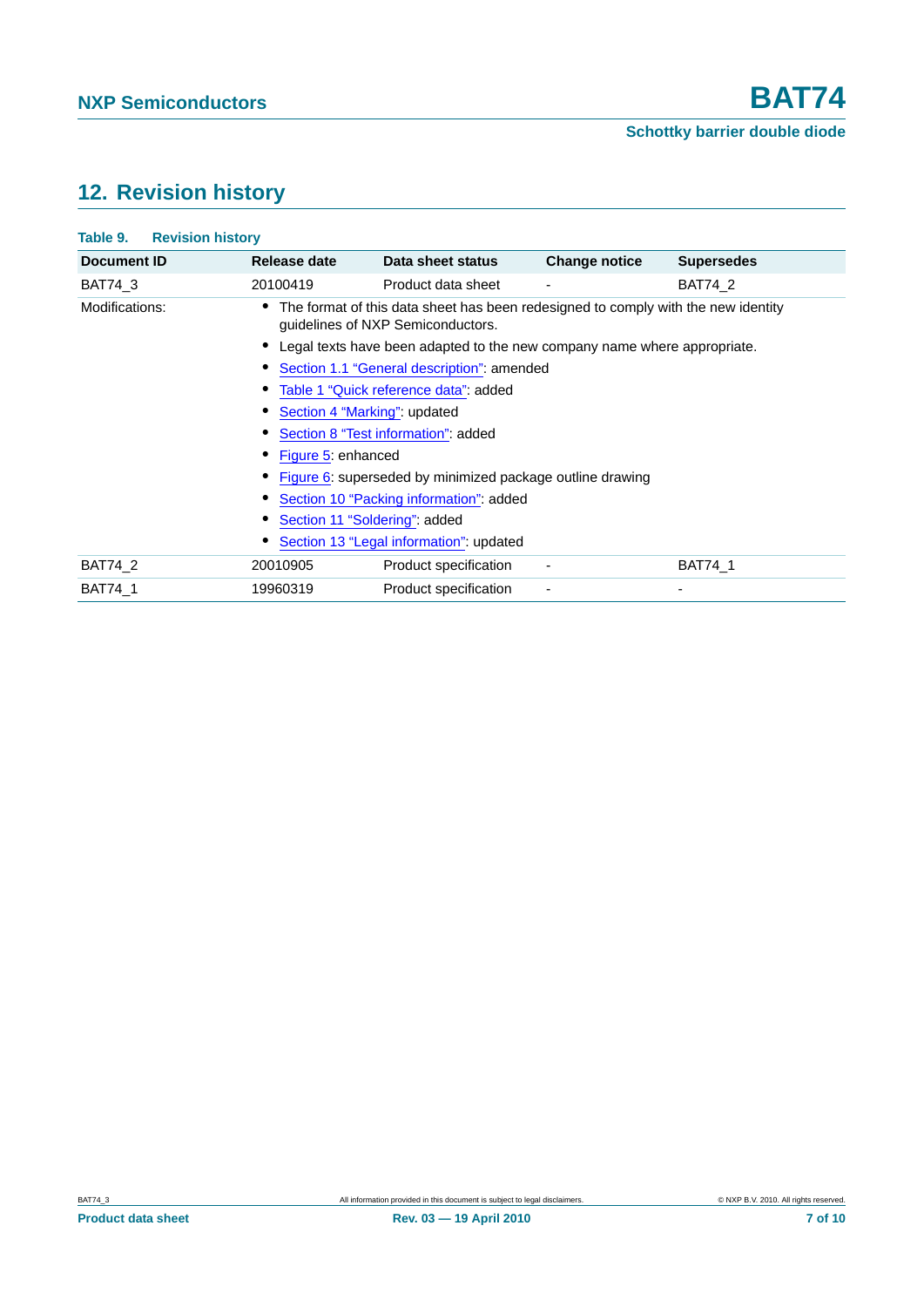# <span id="page-6-0"></span>**12. Revision history**

| Table 9.<br><b>Revision history</b> |                                                                          |                                                                                                                        |                      |                   |  |  |  |
|-------------------------------------|--------------------------------------------------------------------------|------------------------------------------------------------------------------------------------------------------------|----------------------|-------------------|--|--|--|
| <b>Document ID</b>                  | Release date                                                             | Data sheet status                                                                                                      | <b>Change notice</b> | <b>Supersedes</b> |  |  |  |
| <b>BAT74 3</b>                      | 20100419                                                                 | Product data sheet                                                                                                     |                      | <b>BAT74 2</b>    |  |  |  |
| Modifications:                      |                                                                          | The format of this data sheet has been redesigned to comply with the new identity<br>guidelines of NXP Semiconductors. |                      |                   |  |  |  |
|                                     | Legal texts have been adapted to the new company name where appropriate. |                                                                                                                        |                      |                   |  |  |  |
|                                     | Section 1.1 "General description": amended                               |                                                                                                                        |                      |                   |  |  |  |
|                                     | Table 1 "Quick reference data": added                                    |                                                                                                                        |                      |                   |  |  |  |
|                                     | Section 4 "Marking": updated                                             |                                                                                                                        |                      |                   |  |  |  |
|                                     | Section 8 "Test information": added                                      |                                                                                                                        |                      |                   |  |  |  |
|                                     | Figure 5: enhanced                                                       |                                                                                                                        |                      |                   |  |  |  |
|                                     | Figure 6: superseded by minimized package outline drawing                |                                                                                                                        |                      |                   |  |  |  |
|                                     | Section 10 "Packing information": added                                  |                                                                                                                        |                      |                   |  |  |  |
|                                     | Section 11 "Soldering": added                                            |                                                                                                                        |                      |                   |  |  |  |
|                                     |                                                                          | Section 13 "Legal information": updated                                                                                |                      |                   |  |  |  |
| <b>BAT74 2</b>                      | 20010905                                                                 | Product specification                                                                                                  |                      | <b>BAT74 1</b>    |  |  |  |
| <b>BAT74 1</b>                      | 19960319                                                                 | Product specification                                                                                                  |                      | $\overline{a}$    |  |  |  |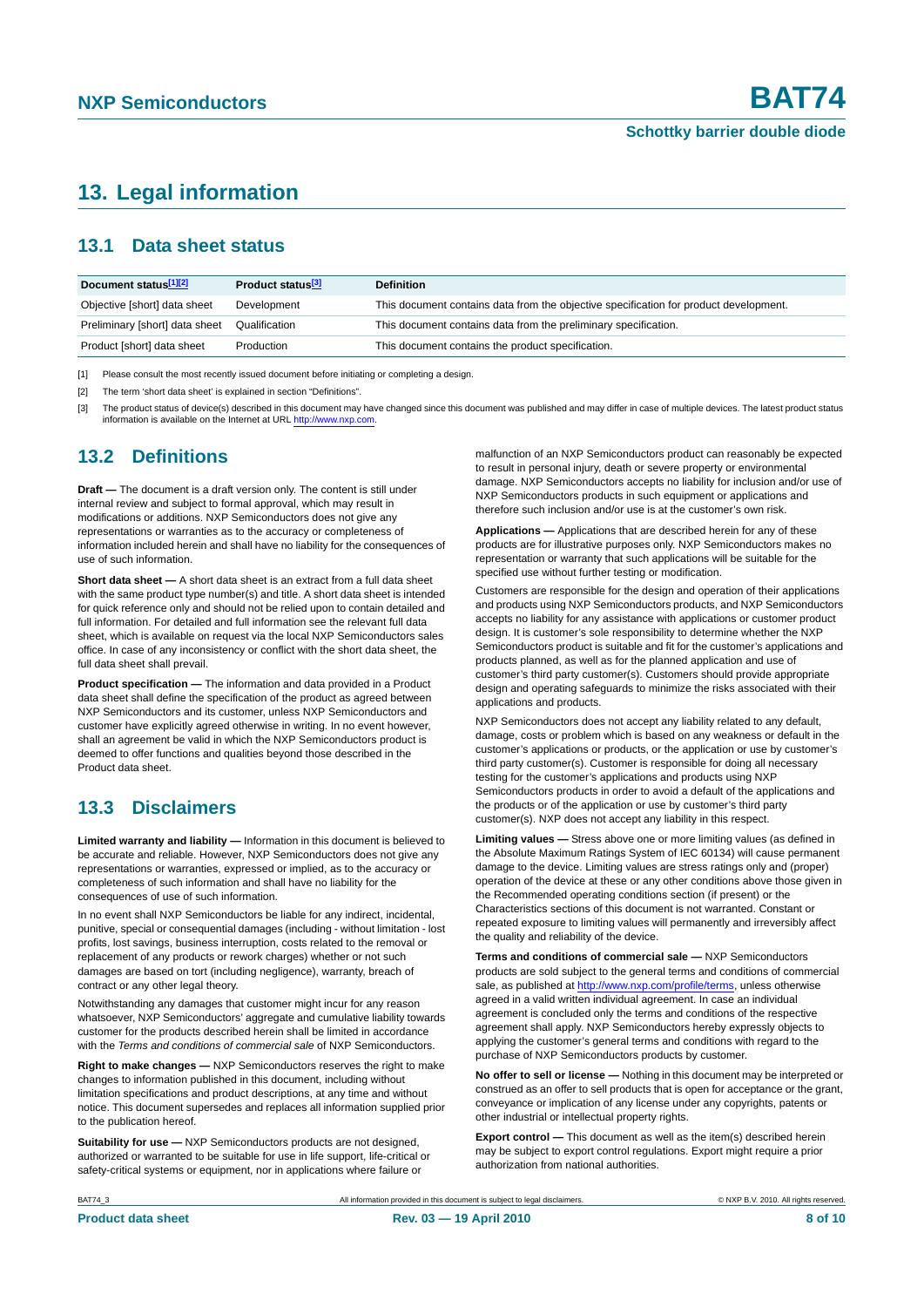## <span id="page-7-0"></span>**13. Legal information**

#### <span id="page-7-1"></span>**13.1 Data sheet status**

| Document status[1][2]          | Product status <sup>[3]</sup> | <b>Definition</b>                                                                     |
|--------------------------------|-------------------------------|---------------------------------------------------------------------------------------|
| Objective [short] data sheet   | Development                   | This document contains data from the objective specification for product development. |
| Preliminary [short] data sheet | Qualification                 | This document contains data from the preliminary specification.                       |
| Product [short] data sheet     | Production                    | This document contains the product specification.                                     |

[1] Please consult the most recently issued document before initiating or completing a design.

[2] The term 'short data sheet' is explained in section "Definitions".

[3] The product status of device(s) described in this document may have changed since this document was published and may differ in case of multiple devices. The latest product status<br>information is available on the Intern

#### <span id="page-7-2"></span>**13.2 Definitions**

**Draft —** The document is a draft version only. The content is still under internal review and subject to formal approval, which may result in modifications or additions. NXP Semiconductors does not give any representations or warranties as to the accuracy or completeness of information included herein and shall have no liability for the consequences of use of such information.

**Short data sheet —** A short data sheet is an extract from a full data sheet with the same product type number(s) and title. A short data sheet is intended for quick reference only and should not be relied upon to contain detailed and full information. For detailed and full information see the relevant full data sheet, which is available on request via the local NXP Semiconductors sales office. In case of any inconsistency or conflict with the short data sheet, the full data sheet shall prevail.

**Product specification —** The information and data provided in a Product data sheet shall define the specification of the product as agreed between NXP Semiconductors and its customer, unless NXP Semiconductors and customer have explicitly agreed otherwise in writing. In no event however, shall an agreement be valid in which the NXP Semiconductors product is deemed to offer functions and qualities beyond those described in the Product data sheet.

## <span id="page-7-3"></span>**13.3 Disclaimers**

**Limited warranty and liability —** Information in this document is believed to be accurate and reliable. However, NXP Semiconductors does not give any representations or warranties, expressed or implied, as to the accuracy or completeness of such information and shall have no liability for the consequences of use of such information.

In no event shall NXP Semiconductors be liable for any indirect, incidental, punitive, special or consequential damages (including - without limitation - lost profits, lost savings, business interruption, costs related to the removal or replacement of any products or rework charges) whether or not such damages are based on tort (including negligence), warranty, breach of contract or any other legal theory.

Notwithstanding any damages that customer might incur for any reason whatsoever, NXP Semiconductors' aggregate and cumulative liability towards customer for the products described herein shall be limited in accordance with the *Terms and conditions of commercial sale* of NXP Semiconductors.

**Right to make changes —** NXP Semiconductors reserves the right to make changes to information published in this document, including without limitation specifications and product descriptions, at any time and without notice. This document supersedes and replaces all information supplied prior to the publication hereof.

**Suitability for use —** NXP Semiconductors products are not designed, authorized or warranted to be suitable for use in life support, life-critical or safety-critical systems or equipment, nor in applications where failure or

malfunction of an NXP Semiconductors product can reasonably be expected to result in personal injury, death or severe property or environmental damage. NXP Semiconductors accepts no liability for inclusion and/or use of NXP Semiconductors products in such equipment or applications and therefore such inclusion and/or use is at the customer's own risk.

**Applications —** Applications that are described herein for any of these products are for illustrative purposes only. NXP Semiconductors makes no representation or warranty that such applications will be suitable for the specified use without further testing or modification.

Customers are responsible for the design and operation of their applications and products using NXP Semiconductors products, and NXP Semiconductors accepts no liability for any assistance with applications or customer product design. It is customer's sole responsibility to determine whether the NXP Semiconductors product is suitable and fit for the customer's applications and products planned, as well as for the planned application and use of customer's third party customer(s). Customers should provide appropriate design and operating safeguards to minimize the risks associated with their applications and products.

NXP Semiconductors does not accept any liability related to any default, damage, costs or problem which is based on any weakness or default in the customer's applications or products, or the application or use by customer's third party customer(s). Customer is responsible for doing all necessary testing for the customer's applications and products using NXP Semiconductors products in order to avoid a default of the applications and the products or of the application or use by customer's third party customer(s). NXP does not accept any liability in this respect.

**Limiting values —** Stress above one or more limiting values (as defined in the Absolute Maximum Ratings System of IEC 60134) will cause permanent damage to the device. Limiting values are stress ratings only and (proper) operation of the device at these or any other conditions above those given in the Recommended operating conditions section (if present) or the Characteristics sections of this document is not warranted. Constant or repeated exposure to limiting values will permanently and irreversibly affect the quality and reliability of the device.

**Terms and conditions of commercial sale —** NXP Semiconductors products are sold subject to the general terms and conditions of commercial sale, as published at http://www.nxp.com/profile/terms, unless otherwise agreed in a valid written individual agreement. In case an individual agreement is concluded only the terms and conditions of the respective agreement shall apply. NXP Semiconductors hereby expressly objects to applying the customer's general terms and conditions with regard to the purchase of NXP Semiconductors products by customer.

**No offer to sell or license —** Nothing in this document may be interpreted or construed as an offer to sell products that is open for acceptance or the grant, conveyance or implication of any license under any copyrights, patents or other industrial or intellectual property rights.

**Export control —** This document as well as the item(s) described herein may be subject to export control regulations. Export might require a prior authorization from national authorities.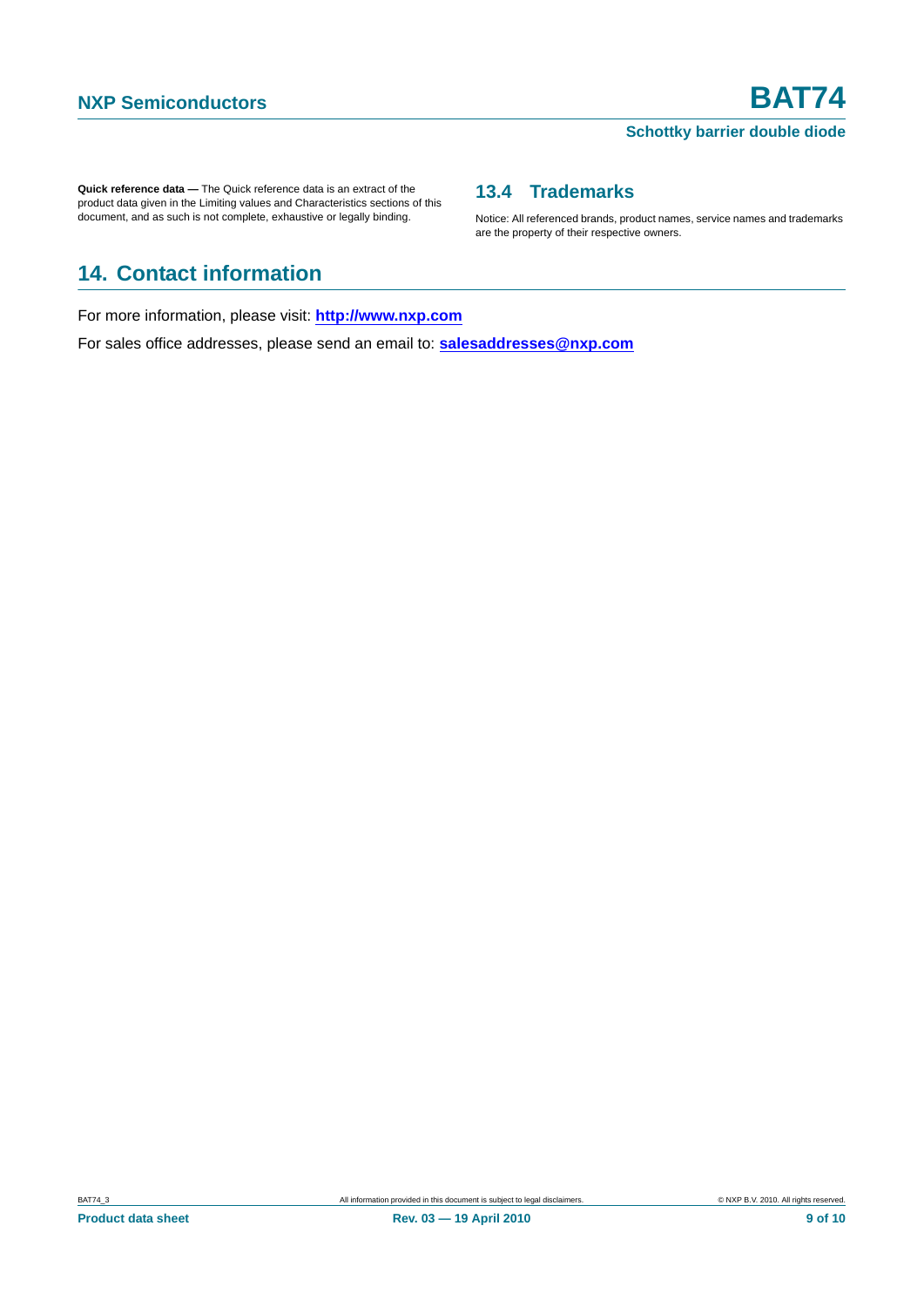#### **Schottky barrier double diode**

Notice: All referenced brands, product names, service names and trademarks

<span id="page-8-1"></span>**13.4 Trademarks**

are the property of their respective owners.

**Quick reference data —** The Quick reference data is an extract of the product data given in the Limiting values and Characteristics sections of this document, and as such is not complete, exhaustive or legally binding.

# <span id="page-8-0"></span>**14. Contact information**

For more information, please visit: **http://www.nxp.com**

For sales office addresses, please send an email to: **salesaddresses@nxp.com**